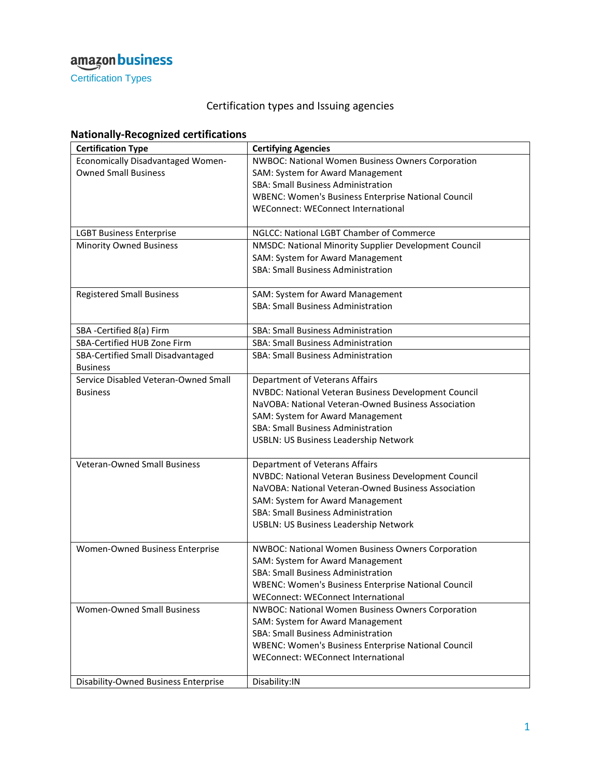Certification Types

#### Certification types and Issuing agencies

| <b>Nationally-Recognized certifications</b> |  |
|---------------------------------------------|--|
|---------------------------------------------|--|

| <b>Certification Type</b>                   | <b>Certifying Agencies</b>                                 |
|---------------------------------------------|------------------------------------------------------------|
| <b>Economically Disadvantaged Women-</b>    | <b>NWBOC: National Women Business Owners Corporation</b>   |
| <b>Owned Small Business</b>                 | SAM: System for Award Management                           |
|                                             | <b>SBA: Small Business Administration</b>                  |
|                                             | <b>WBENC: Women's Business Enterprise National Council</b> |
|                                             | <b>WEConnect: WEConnect International</b>                  |
|                                             |                                                            |
| <b>LGBT Business Enterprise</b>             | NGLCC: National LGBT Chamber of Commerce                   |
| <b>Minority Owned Business</b>              | NMSDC: National Minority Supplier Development Council      |
|                                             | SAM: System for Award Management                           |
|                                             | <b>SBA: Small Business Administration</b>                  |
|                                             |                                                            |
| <b>Registered Small Business</b>            | SAM: System for Award Management                           |
|                                             | <b>SBA: Small Business Administration</b>                  |
|                                             |                                                            |
| SBA -Certified 8(a) Firm                    | <b>SBA: Small Business Administration</b>                  |
| SBA-Certified HUB Zone Firm                 | SBA: Small Business Administration                         |
| SBA-Certified Small Disadvantaged           | <b>SBA: Small Business Administration</b>                  |
| <b>Business</b>                             |                                                            |
| Service Disabled Veteran-Owned Small        | Department of Veterans Affairs                             |
| <b>Business</b>                             | NVBDC: National Veteran Business Development Council       |
|                                             | NaVOBA: National Veteran-Owned Business Association        |
|                                             | SAM: System for Award Management                           |
|                                             | <b>SBA: Small Business Administration</b>                  |
|                                             | USBLN: US Business Leadership Network                      |
|                                             |                                                            |
| <b>Veteran-Owned Small Business</b>         | Department of Veterans Affairs                             |
|                                             | NVBDC: National Veteran Business Development Council       |
|                                             | NaVOBA: National Veteran-Owned Business Association        |
|                                             | SAM: System for Award Management                           |
|                                             | <b>SBA: Small Business Administration</b>                  |
|                                             | <b>USBLN: US Business Leadership Network</b>               |
|                                             |                                                            |
| Women-Owned Business Enterprise             | NWBOC: National Women Business Owners Corporation          |
|                                             | SAM: System for Award Management                           |
|                                             | <b>SBA: Small Business Administration</b>                  |
|                                             | <b>WBENC: Women's Business Enterprise National Council</b> |
|                                             | WEConnect: WEConnect International                         |
| <b>Women-Owned Small Business</b>           | NWBOC: National Women Business Owners Corporation          |
|                                             | SAM: System for Award Management                           |
|                                             | <b>SBA: Small Business Administration</b>                  |
|                                             | <b>WBENC: Women's Business Enterprise National Council</b> |
|                                             | WEConnect: WEConnect International                         |
|                                             |                                                            |
| <b>Disability-Owned Business Enterprise</b> | Disability:IN                                              |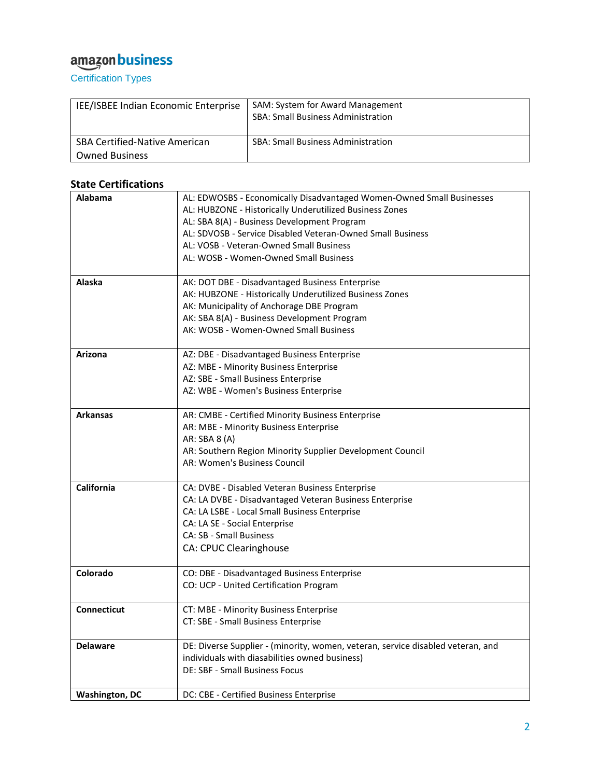Certification Types

| IEE/ISBEE Indian Economic Enterprise | SAM: System for Award Management<br><b>SBA: Small Business Administration</b> |
|--------------------------------------|-------------------------------------------------------------------------------|
| <b>SBA Certified-Native American</b> | <b>SBA: Small Business Administration</b>                                     |
| <b>Owned Business</b>                |                                                                               |

#### **State Certifications**

| Alabama               | AL: EDWOSBS - Economically Disadvantaged Women-Owned Small Businesses           |
|-----------------------|---------------------------------------------------------------------------------|
|                       | AL: HUBZONE - Historically Underutilized Business Zones                         |
|                       | AL: SBA 8(A) - Business Development Program                                     |
|                       | AL: SDVOSB - Service Disabled Veteran-Owned Small Business                      |
|                       | AL: VOSB - Veteran-Owned Small Business                                         |
|                       | AL: WOSB - Women-Owned Small Business                                           |
|                       |                                                                                 |
| Alaska                | AK: DOT DBE - Disadvantaged Business Enterprise                                 |
|                       | AK: HUBZONE - Historically Underutilized Business Zones                         |
|                       | AK: Municipality of Anchorage DBE Program                                       |
|                       | AK: SBA 8(A) - Business Development Program                                     |
|                       | AK: WOSB - Women-Owned Small Business                                           |
|                       |                                                                                 |
| Arizona               | AZ: DBE - Disadvantaged Business Enterprise                                     |
|                       | AZ: MBE - Minority Business Enterprise                                          |
|                       | AZ: SBE - Small Business Enterprise                                             |
|                       | AZ: WBE - Women's Business Enterprise                                           |
|                       |                                                                                 |
| <b>Arkansas</b>       | AR: CMBE - Certified Minority Business Enterprise                               |
|                       | AR: MBE - Minority Business Enterprise                                          |
|                       | AR: SBA 8 (A)                                                                   |
|                       | AR: Southern Region Minority Supplier Development Council                       |
|                       | AR: Women's Business Council                                                    |
|                       |                                                                                 |
| <b>California</b>     | CA: DVBE - Disabled Veteran Business Enterprise                                 |
|                       | CA: LA DVBE - Disadvantaged Veteran Business Enterprise                         |
|                       | CA: LA LSBE - Local Small Business Enterprise                                   |
|                       | CA: LA SE - Social Enterprise                                                   |
|                       | <b>CA: SB - Small Business</b>                                                  |
|                       | <b>CA: CPUC Clearinghouse</b>                                                   |
|                       |                                                                                 |
| Colorado              | CO: DBE - Disadvantaged Business Enterprise                                     |
|                       | CO: UCP - United Certification Program                                          |
|                       |                                                                                 |
| <b>Connecticut</b>    | CT: MBE - Minority Business Enterprise                                          |
|                       | CT: SBE - Small Business Enterprise                                             |
|                       |                                                                                 |
| <b>Delaware</b>       | DE: Diverse Supplier - (minority, women, veteran, service disabled veteran, and |
|                       | individuals with diasabilities owned business)                                  |
|                       | <b>DE: SBF - Small Business Focus</b>                                           |
|                       |                                                                                 |
| <b>Washington, DC</b> | DC: CBE - Certified Business Enterprise                                         |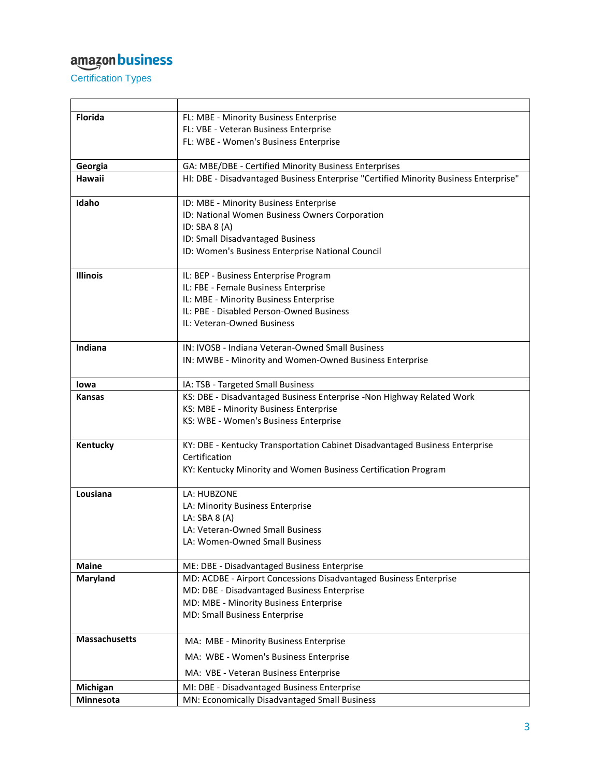Certification Types

| <b>Florida</b>       | FL: MBE - Minority Business Enterprise                                               |
|----------------------|--------------------------------------------------------------------------------------|
|                      | FL: VBE - Veteran Business Enterprise                                                |
|                      | FL: WBE - Women's Business Enterprise                                                |
| Georgia              | GA: MBE/DBE - Certified Minority Business Enterprises                                |
| Hawaii               | HI: DBE - Disadvantaged Business Enterprise "Certified Minority Business Enterprise" |
| Idaho                | ID: MBE - Minority Business Enterprise                                               |
|                      | ID: National Women Business Owners Corporation                                       |
|                      | ID: SBA $8(A)$                                                                       |
|                      | ID: Small Disadvantaged Business                                                     |
|                      | ID: Women's Business Enterprise National Council                                     |
| <b>Illinois</b>      | IL: BEP - Business Enterprise Program                                                |
|                      | IL: FBE - Female Business Enterprise                                                 |
|                      | IL: MBE - Minority Business Enterprise                                               |
|                      | IL: PBE - Disabled Person-Owned Business                                             |
|                      | IL: Veteran-Owned Business                                                           |
| Indiana              | IN: IVOSB - Indiana Veteran-Owned Small Business                                     |
|                      | IN: MWBE - Minority and Women-Owned Business Enterprise                              |
|                      |                                                                                      |
| lowa                 | IA: TSB - Targeted Small Business                                                    |
| <b>Kansas</b>        | KS: DBE - Disadvantaged Business Enterprise -Non Highway Related Work                |
|                      | KS: MBE - Minority Business Enterprise                                               |
|                      | KS: WBE - Women's Business Enterprise                                                |
| Kentucky             | KY: DBE - Kentucky Transportation Cabinet Disadvantaged Business Enterprise          |
|                      | Certification                                                                        |
|                      | KY: Kentucky Minority and Women Business Certification Program                       |
| Lousiana             | LA: HUBZONE                                                                          |
|                      | LA: Minority Business Enterprise                                                     |
|                      | LA: SBA 8 (A)                                                                        |
|                      | LA: Veteran-Owned Small Business<br>LA: Women-Owned Small Business                   |
|                      |                                                                                      |
| <b>Maine</b>         | ME: DBE - Disadvantaged Business Enterprise                                          |
| Maryland             | MD: ACDBE - Airport Concessions Disadvantaged Business Enterprise                    |
|                      | MD: DBE - Disadvantaged Business Enterprise                                          |
|                      | MD: MBE - Minority Business Enterprise                                               |
|                      | MD: Small Business Enterprise                                                        |
| <b>Massachusetts</b> | MA: MBE - Minority Business Enterprise                                               |
|                      | MA: WBE - Women's Business Enterprise                                                |
|                      | MA: VBE - Veteran Business Enterprise                                                |
| Michigan             | MI: DBE - Disadvantaged Business Enterprise                                          |
| Minnesota            | MN: Economically Disadvantaged Small Business                                        |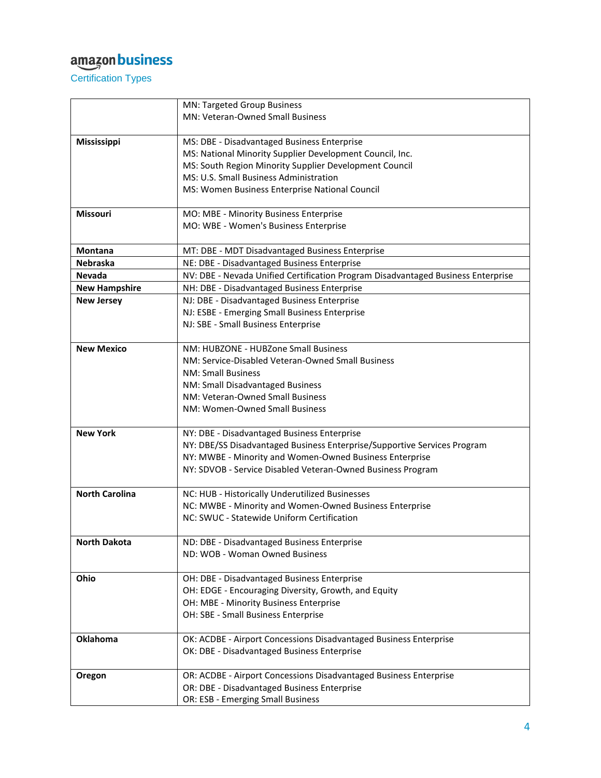Certification Types

|                       | MN: Targeted Group Business                                                      |
|-----------------------|----------------------------------------------------------------------------------|
|                       | <b>MN: Veteran-Owned Small Business</b>                                          |
|                       |                                                                                  |
| Mississippi           | MS: DBE - Disadvantaged Business Enterprise                                      |
|                       | MS: National Minority Supplier Development Council, Inc.                         |
|                       | MS: South Region Minority Supplier Development Council                           |
|                       | MS: U.S. Small Business Administration                                           |
|                       | MS: Women Business Enterprise National Council                                   |
|                       |                                                                                  |
| <b>Missouri</b>       | MO: MBE - Minority Business Enterprise                                           |
|                       | MO: WBE - Women's Business Enterprise                                            |
| <b>Montana</b>        | MT: DBE - MDT Disadvantaged Business Enterprise                                  |
| <b>Nebraska</b>       | NE: DBE - Disadvantaged Business Enterprise                                      |
| <b>Nevada</b>         | NV: DBE - Nevada Unified Certification Program Disadvantaged Business Enterprise |
| <b>New Hampshire</b>  | NH: DBE - Disadvantaged Business Enterprise                                      |
| <b>New Jersey</b>     | NJ: DBE - Disadvantaged Business Enterprise                                      |
|                       | NJ: ESBE - Emerging Small Business Enterprise                                    |
|                       | NJ: SBE - Small Business Enterprise                                              |
|                       |                                                                                  |
| <b>New Mexico</b>     | NM: HUBZONE - HUBZone Small Business                                             |
|                       | NM: Service-Disabled Veteran-Owned Small Business                                |
|                       | <b>NM: Small Business</b>                                                        |
|                       | NM: Small Disadvantaged Business                                                 |
|                       | NM: Veteran-Owned Small Business                                                 |
|                       | NM: Women-Owned Small Business                                                   |
|                       |                                                                                  |
| <b>New York</b>       | NY: DBE - Disadvantaged Business Enterprise                                      |
|                       | NY: DBE/SS Disadvantaged Business Enterprise/Supportive Services Program         |
|                       | NY: MWBE - Minority and Women-Owned Business Enterprise                          |
|                       | NY: SDVOB - Service Disabled Veteran-Owned Business Program                      |
|                       |                                                                                  |
| <b>North Carolina</b> | NC: HUB - Historically Underutilized Businesses                                  |
|                       | NC: MWBE - Minority and Women-Owned Business Enterprise                          |
|                       | NC: SWUC - Statewide Uniform Certification                                       |
|                       |                                                                                  |
| <b>North Dakota</b>   | ND: DBE - Disadvantaged Business Enterprise                                      |
|                       | ND: WOB - Woman Owned Business                                                   |
|                       |                                                                                  |
| Ohio                  | OH: DBE - Disadvantaged Business Enterprise                                      |
|                       | OH: EDGE - Encouraging Diversity, Growth, and Equity                             |
|                       | OH: MBE - Minority Business Enterprise                                           |
|                       | OH: SBE - Small Business Enterprise                                              |
|                       |                                                                                  |
| <b>Oklahoma</b>       | OK: ACDBE - Airport Concessions Disadvantaged Business Enterprise                |
|                       | OK: DBE - Disadvantaged Business Enterprise                                      |
|                       |                                                                                  |
| Oregon                | OR: ACDBE - Airport Concessions Disadvantaged Business Enterprise                |
|                       | OR: DBE - Disadvantaged Business Enterprise                                      |
|                       | OR: ESB - Emerging Small Business                                                |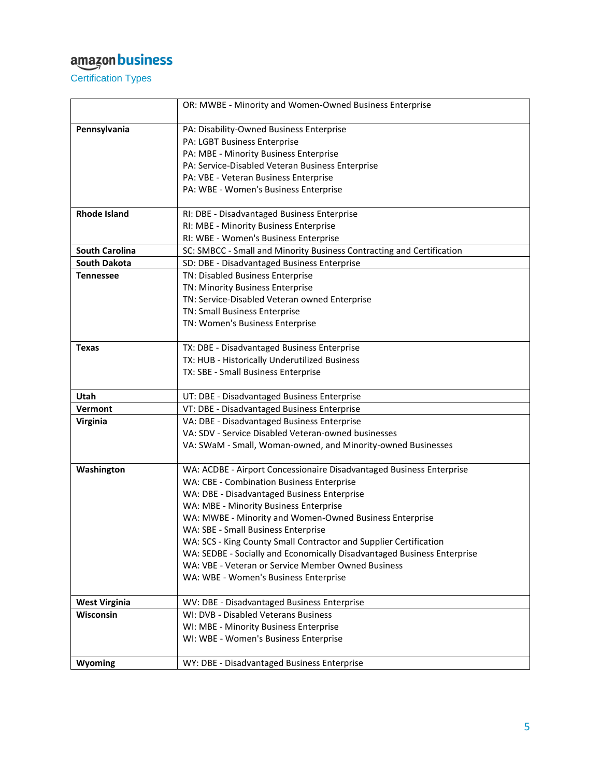Certification Types

|                            | OR: MWBE - Minority and Women-Owned Business Enterprise                                    |
|----------------------------|--------------------------------------------------------------------------------------------|
| Pennsylvania               | PA: Disability-Owned Business Enterprise                                                   |
|                            | PA: LGBT Business Enterprise                                                               |
|                            | PA: MBE - Minority Business Enterprise                                                     |
|                            | PA: Service-Disabled Veteran Business Enterprise                                           |
|                            | PA: VBE - Veteran Business Enterprise                                                      |
|                            | PA: WBE - Women's Business Enterprise                                                      |
|                            |                                                                                            |
| <b>Rhode Island</b>        | RI: DBE - Disadvantaged Business Enterprise                                                |
|                            | RI: MBE - Minority Business Enterprise                                                     |
|                            | RI: WBE - Women's Business Enterprise                                                      |
| <b>South Carolina</b>      | SC: SMBCC - Small and Minority Business Contracting and Certification                      |
| <b>South Dakota</b>        | SD: DBE - Disadvantaged Business Enterprise                                                |
| <b>Tennessee</b>           | TN: Disabled Business Enterprise                                                           |
|                            | TN: Minority Business Enterprise<br>TN: Service-Disabled Veteran owned Enterprise          |
|                            | TN: Small Business Enterprise                                                              |
|                            | TN: Women's Business Enterprise                                                            |
|                            |                                                                                            |
| <b>Texas</b>               | TX: DBE - Disadvantaged Business Enterprise                                                |
|                            | TX: HUB - Historically Underutilized Business                                              |
|                            | TX: SBE - Small Business Enterprise                                                        |
| Utah                       |                                                                                            |
|                            | UT: DBE - Disadvantaged Business Enterprise                                                |
| <b>Vermont</b><br>Virginia | VT: DBE - Disadvantaged Business Enterprise<br>VA: DBE - Disadvantaged Business Enterprise |
|                            | VA: SDV - Service Disabled Veteran-owned businesses                                        |
|                            | VA: SWaM - Small, Woman-owned, and Minority-owned Businesses                               |
|                            |                                                                                            |
| Washington                 | WA: ACDBE - Airport Concessionaire Disadvantaged Business Enterprise                       |
|                            | WA: CBE - Combination Business Enterprise                                                  |
|                            | WA: DBE - Disadvantaged Business Enterprise                                                |
|                            | WA: MBE - Minority Business Enterprise                                                     |
|                            | WA: MWBE - Minority and Women-Owned Business Enterprise                                    |
|                            | WA: SBE - Small Business Enterprise                                                        |
|                            | WA: SCS - King County Small Contractor and Supplier Certification                          |
|                            | WA: SEDBE - Socially and Economically Disadvantaged Business Enterprise                    |
|                            | WA: VBE - Veteran or Service Member Owned Business                                         |
|                            | WA: WBE - Women's Business Enterprise                                                      |
| <b>West Virginia</b>       | WV: DBE - Disadvantaged Business Enterprise                                                |
| Wisconsin                  | WI: DVB - Disabled Veterans Business                                                       |
|                            | WI: MBE - Minority Business Enterprise                                                     |
|                            | WI: WBE - Women's Business Enterprise                                                      |
|                            |                                                                                            |
| Wyoming                    | WY: DBE - Disadvantaged Business Enterprise                                                |